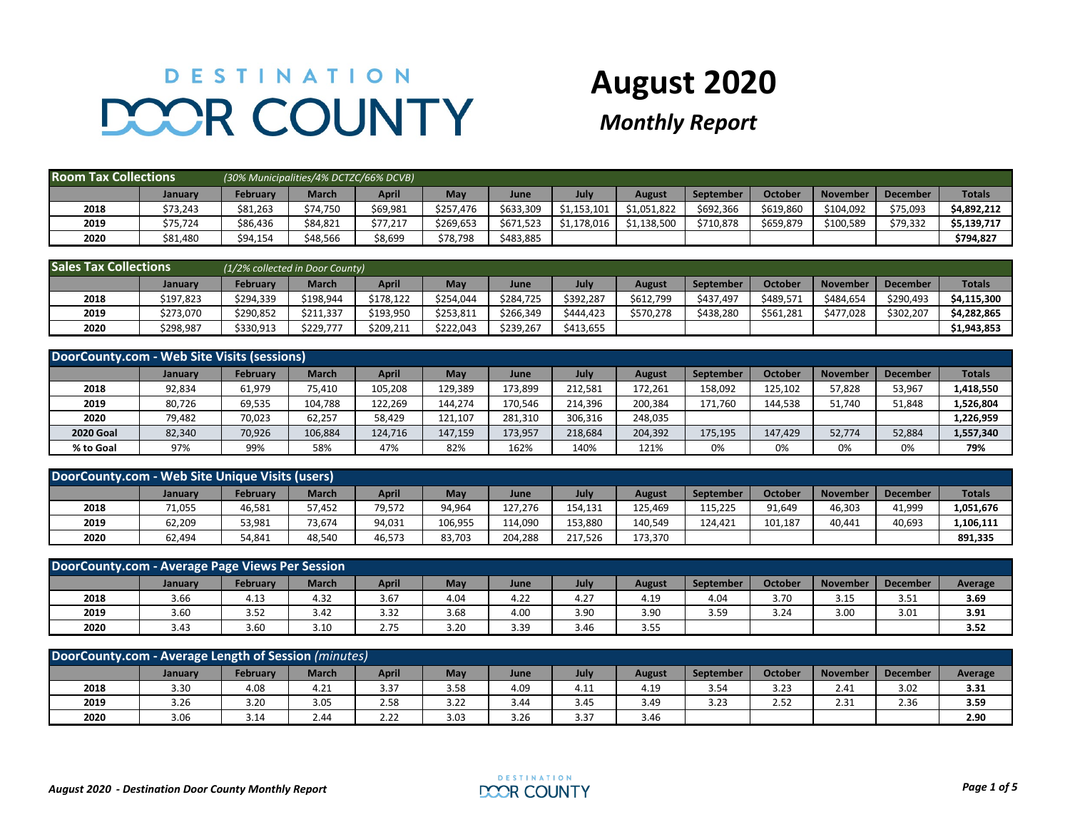## DESTINATION **DOOR COUNTY**

## **August 2020**

## *Monthly Report*

| <b>Room Tax Collections</b> |          | (30% Municipalities/4% DCTZC/66% DCVB) |              |          |                     |           |             |             |           |           |                 |                 |               |
|-----------------------------|----------|----------------------------------------|--------------|----------|---------------------|-----------|-------------|-------------|-----------|-----------|-----------------|-----------------|---------------|
|                             | January  | February                               | <b>March</b> | April    | May                 | June      | July        | August      | September | October   | <b>November</b> | <b>December</b> | <b>Totals</b> |
| 2018                        | \$73,243 | \$81,263                               | \$74,750     | \$69,981 | \$257.476           | \$633,309 | \$1,153,101 | \$1,051,822 | \$692,366 | \$619,860 | \$104,092       | \$75,093        | \$4.892.212   |
| 2019                        | \$75,724 | \$86,436                               | \$84,821     | \$77,217 | \$269,653           | \$671,523 | \$1,178,016 | \$1,138,500 | \$710,878 | \$659,879 | \$100,589       | \$79,332        | \$5,139,717   |
| 2020                        | \$81,480 | \$94,154                               | \$48,566     | \$8,699  | <sup>;</sup> 78,798 | \$483,885 |             |             |           |           |                 |                 | \$794,827     |

| <b>Sales Tax Collections</b> |           | (1/2% collected in Door County) |              |           |           |           |           |           |           |           |                 |                 |               |
|------------------------------|-----------|---------------------------------|--------------|-----------|-----------|-----------|-----------|-----------|-----------|-----------|-----------------|-----------------|---------------|
|                              | January   | Februarv                        | <b>March</b> | April     | May       | June      | July      | August    | September | October   | <b>November</b> | <b>December</b> | <b>Totals</b> |
| 2018                         | \$197,823 | \$294,339                       | \$198,944    | \$178.122 | \$254,044 | \$284.725 | \$392,287 | \$612,799 | \$437.497 | \$489,571 | \$484.654       | \$290,493       | \$4,115,300   |
| 2019                         | \$273,070 | \$290,852                       | \$211,337    | \$193,950 | \$253,811 | \$266,349 | \$444,423 | \$570.278 | \$438,280 | \$561,281 | \$477.028       | \$302,207       | \$4,282,865   |
| 2020                         | \$298,987 | \$330,913                       | \$229,777    | \$209,211 | \$222,043 | \$239,267 | \$413,655 |           |           |           |                 |                 | \$1,943,853   |

| DoorCounty.com - Web Site Visits (sessions) |         |                 |              |         |         |         |         |               |                  |         |                 |                 |               |
|---------------------------------------------|---------|-----------------|--------------|---------|---------|---------|---------|---------------|------------------|---------|-----------------|-----------------|---------------|
|                                             | January | <b>February</b> | <b>March</b> | April   | May     | June    | July    | <b>August</b> | <b>September</b> | October | <b>November</b> | <b>December</b> | <b>Totals</b> |
| 2018                                        | 92,834  | 61,979          | 75.410       | 105,208 | 129,389 | 173,899 | 212.581 | 172.261       | 158.092          | 125,102 | 57.828          | 53,967          | 1,418,550     |
| 2019                                        | 80.726  | 69,535          | 104,788      | 122,269 | 144,274 | 170,546 | 214.396 | 200.384       | 171.760          | 144,538 | 51,740          | 51,848          | 1,526,804     |
| 2020                                        | 79,482  | 70,023          | 62,257       | 58,429  | 121,107 | 281,310 | 306,316 | 248,035       |                  |         |                 |                 | 1,226,959     |
| <b>2020 Goal</b>                            | 82,340  | 70,926          | 106,884      | 124.716 | 147,159 | 173,957 | 218,684 | 204,392       | 175,195          | 147.429 | 52,774          | 52,884          | 1,557,340     |
| % to Goal                                   | 97%     | 99%             | 58%          | 47%     | 82%     | 162%    | 140%    | 121%          | 0%               | 0%      | 0%              | 0%              | 79%           |

| DoorCounty.com - Web Site Unique Visits (users)                                                                                                                                   |        |        |        |        |         |         |         |         |         |         |        |        |           |
|-----------------------------------------------------------------------------------------------------------------------------------------------------------------------------------|--------|--------|--------|--------|---------|---------|---------|---------|---------|---------|--------|--------|-----------|
| <b>Totals</b><br><b>March</b><br><b>April</b><br>May<br><b>October</b><br>July<br><b>February</b><br><b>November</b><br>September<br><b>December</b><br>August<br>June<br>January |        |        |        |        |         |         |         |         |         |         |        |        |           |
| 2018                                                                                                                                                                              | 71,055 | 46,581 | 57,452 | 79,572 | 94,964  | 127,276 | 154,131 | 125,469 | 115,225 | 91,649  | 46,303 | 41,999 | 1,051,676 |
| 2019                                                                                                                                                                              | 62,209 | 53,981 | 73,674 | 94,031 | 106,955 | 114,090 | 153,880 | 140,549 | 124.421 | 101,187 | 40,441 | 40,693 | ,106,111  |
| 2020                                                                                                                                                                              | 62,494 | 54,841 | 48,540 | 46,573 | 83,703  | 204,288 | 217,526 | 173,370 |         |         |        |        | 891,335   |

| DoorCounty.com - Average Page Views Per Session                                                                                                        |      |      |      |      |      |      |      |      |      |      |      |      |      |
|--------------------------------------------------------------------------------------------------------------------------------------------------------|------|------|------|------|------|------|------|------|------|------|------|------|------|
| April<br><b>March</b><br>October<br>February<br>May<br>July<br><b>December</b><br><b>November</b><br>September<br>Average<br>August<br>June<br>January |      |      |      |      |      |      |      |      |      |      |      |      |      |
| 2018                                                                                                                                                   | 3.66 | 4.13 | 4.32 | 3.67 | 4.04 | 4.22 | 4.27 | 4.19 | 4.04 | 3.70 | 3.15 | 3.51 | 3.69 |
| 2019                                                                                                                                                   | 3.60 | 3.52 | 3.42 | 3.32 | 3.68 | 4.00 | 3.90 | 3.90 | 3.59 | 3.24 | 3.00 | 3.01 | 3.91 |
| 2020                                                                                                                                                   | 3.43 | 3.60 | 3.10 | 2.75 | 3.20 | 3.39 | 3.46 | 3.55 |      |      |      |      | 3.52 |

| DoorCounty.com - Average Length of Session (minutes)                                                                                                                               |      |      |      |      |      |      |      |      |      |      |      |      |      |
|------------------------------------------------------------------------------------------------------------------------------------------------------------------------------------|------|------|------|------|------|------|------|------|------|------|------|------|------|
| <b>March</b><br>October<br>May<br><b>February</b><br><b>April</b><br>July<br><b>November</b><br><b>December</b><br><b>September</b><br>August<br><b>Average</b><br>January<br>June |      |      |      |      |      |      |      |      |      |      |      |      |      |
| 2018                                                                                                                                                                               | 3.30 | 4.08 | 4.21 | 3.37 | 3.58 | 4.09 | 4.11 | 4.19 | 3.54 | 3.23 | 2.41 | 3.02 | 3.31 |
| 2019                                                                                                                                                                               | 3.26 | 3.20 | 3.05 | 2.58 | 3.22 | 3.44 | 3.45 | 3.49 | 3.23 | 2.52 | 2.31 | 2.36 | 3.59 |
| 2020                                                                                                                                                                               | 3.06 | 3.14 | 2.44 | 2.22 | 3.03 | 3.26 | 3.37 | 3.46 |      |      |      |      | 2.90 |

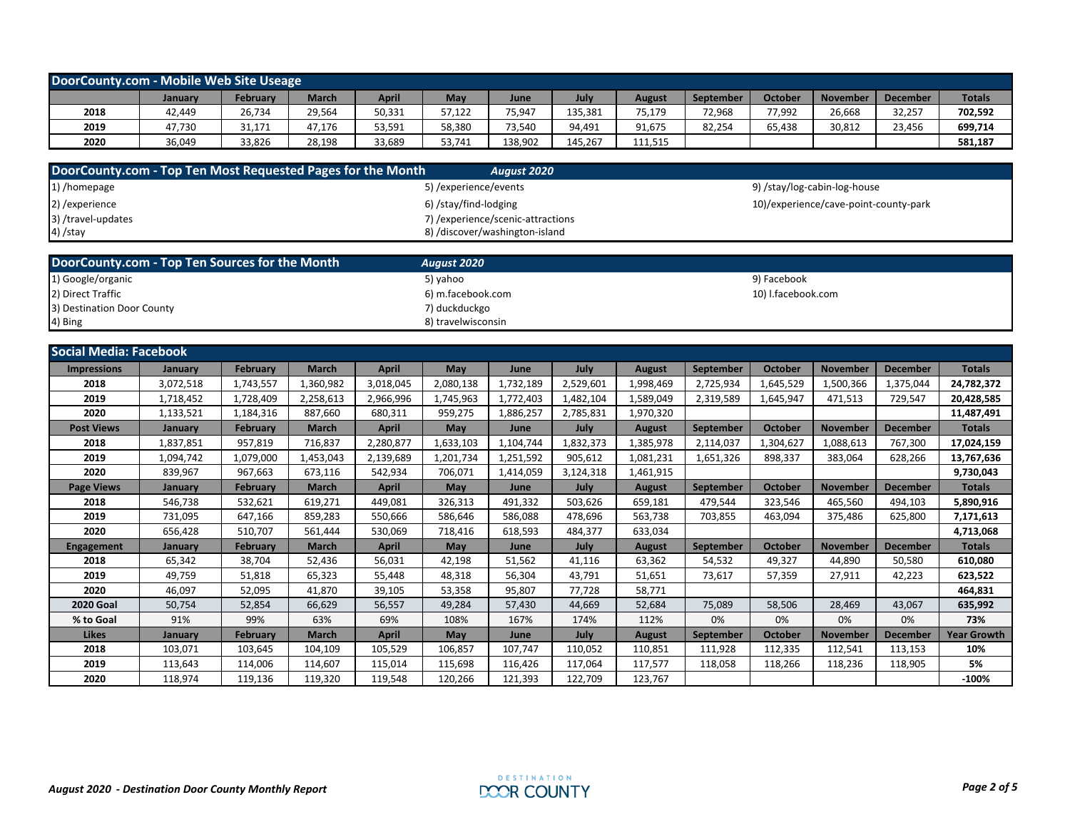| DoorCounty.com - Mobile Web Site Useage                                                                                                                             |        |        |        |        |        |         |         |         |        |        |        |        |         |
|---------------------------------------------------------------------------------------------------------------------------------------------------------------------|--------|--------|--------|--------|--------|---------|---------|---------|--------|--------|--------|--------|---------|
| <b>Totals</b><br><b>April</b><br>July<br><b>October</b><br>May<br>March<br>Februarv<br><b>November</b><br><b>December</b><br>September<br>August<br>January<br>June |        |        |        |        |        |         |         |         |        |        |        |        |         |
| 2018                                                                                                                                                                | 42,449 | 26,734 | 29,564 | 50,331 | 57,122 | 75,947  | 135,381 | 75,179  | 72,968 | 77,992 | 26,668 | 32,257 | 702,592 |
| 2019                                                                                                                                                                | 47.730 | 31,171 | 47,176 | 53,591 | 58,380 | 73,540  | 94,491  | 91,675  | 82,254 | 65,438 | 30,812 | 23,456 | 699,714 |
| 2020                                                                                                                                                                | 36,049 | 33.826 | 28,198 | 33,689 | 53,741 | 138,902 | 145.267 | 111,515 |        |        |        |        | 581,187 |

| DoorCounty.com - Top Ten Most Requested Pages for the Month | August 2020                        |                                       |
|-------------------------------------------------------------|------------------------------------|---------------------------------------|
| 1) /homepage                                                | 5) /experience/events              | 9) /stay/log-cabin-log-house          |
| 2) / experience                                             | 6) /stay/find-lodging              | 10)/experience/cave-point-county-park |
| 3) /travel-updates                                          | 7) / experience/scenic-attractions |                                       |
| $4)$ /stay                                                  | 8) /discover/washington-island     |                                       |

| DoorCounty.com - Top Ten Sources for the Month | August 2020        |                    |
|------------------------------------------------|--------------------|--------------------|
| 1) Google/organic                              | 5) yahoo           | 9) Facebook        |
| 2) Direct Traffic                              | 6) m.facebook.com  | 10) I.facebook.com |
| 3) Destination Door County                     | 7) duckduckgo      |                    |
| 4) Bing                                        | 8) travelwisconsin |                    |

| <b>Social Media: Facebook</b> |                |                 |              |              |            |           |           |               |                  |           |                 |                 |                    |
|-------------------------------|----------------|-----------------|--------------|--------------|------------|-----------|-----------|---------------|------------------|-----------|-----------------|-----------------|--------------------|
| <b>Impressions</b>            | January        | <b>February</b> | <b>March</b> | April        | May        | June      | July      | <b>August</b> | <b>September</b> | October   | <b>November</b> | <b>December</b> | <b>Totals</b>      |
| 2018                          | 3,072,518      | 1,743,557       | 1,360,982    | 3,018,045    | 2,080,138  | 1,732,189 | 2,529,601 | 1,998,469     | 2,725,934        | 1,645,529 | 1,500,366       | 1,375,044       | 24,782,372         |
| 2019                          | 1,718,452      | 1,728,409       | 2,258,613    | 2,966,996    | 1,745,963  | 1,772,403 | 1,482,104 | 1,589,049     | 2,319,589        | 1,645,947 | 471,513         | 729,547         | 20,428,585         |
| 2020                          | 1,133,521      | 1,184,316       | 887,660      | 680,311      | 959,275    | 1,886,257 | 2,785,831 | 1,970,320     |                  |           |                 |                 | 11,487,491         |
| <b>Post Views</b>             | January        | <b>February</b> | <b>March</b> | <b>April</b> | May        | June      | July      | <b>August</b> | September        | October   | <b>November</b> | <b>December</b> | <b>Totals</b>      |
| 2018                          | 1,837,851      | 957,819         | 716,837      | 2,280,877    | 1,633,103  | 1,104,744 | 1,832,373 | 1,385,978     | 2,114,037        | 1,304,627 | 1,088,613       | 767,300         | 17,024,159         |
| 2019                          | 1,094,742      | 1,079,000       | 1,453,043    | 2,139,689    | 1,201,734  | 1,251,592 | 905,612   | 1,081,231     | 1,651,326        | 898,337   | 383,064         | 628,266         | 13,767,636         |
| 2020                          | 839,967        | 967,663         | 673,116      | 542,934      | 706,071    | 1,414,059 | 3,124,318 | 1,461,915     |                  |           |                 |                 | 9,730,043          |
| <b>Page Views</b>             | January        | February        | <b>March</b> | <b>April</b> | May        | June      | July      | <b>August</b> | September        | October   | <b>November</b> | <b>December</b> | <b>Totals</b>      |
| 2018                          | 546,738        | 532,621         | 619,271      | 449.081      | 326,313    | 491,332   | 503.626   | 659,181       | 479.544          | 323,546   | 465,560         | 494,103         | 5,890,916          |
| 2019                          | 731,095        | 647,166         | 859,283      | 550.666      | 586,646    | 586,088   | 478,696   | 563,738       | 703,855          | 463,094   | 375,486         | 625,800         | 7,171,613          |
| 2020                          | 656,428        | 510,707         | 561,444      | 530,069      | 718,416    | 618,593   | 484,377   | 633,034       |                  |           |                 |                 | 4,713,068          |
| <b>Engagement</b>             | January        | <b>February</b> | <b>March</b> | April        | <b>May</b> | June      | July      | <b>August</b> | September        | October   | <b>November</b> | <b>December</b> | <b>Totals</b>      |
| 2018                          | 65,342         | 38,704          | 52,436       | 56,031       | 42,198     | 51,562    | 41,116    | 63,362        | 54,532           | 49,327    | 44,890          | 50,580          | 610,080            |
| 2019                          | 49,759         | 51,818          | 65,323       | 55,448       | 48,318     | 56,304    | 43,791    | 51,651        | 73.617           | 57,359    | 27,911          | 42,223          | 623,522            |
| 2020                          | 46.097         | 52,095          | 41,870       | 39,105       | 53,358     | 95,807    | 77,728    | 58,771        |                  |           |                 |                 | 464,831            |
| <b>2020 Goal</b>              | 50,754         | 52,854          | 66,629       | 56,557       | 49,284     | 57,430    | 44,669    | 52,684        | 75,089           | 58,506    | 28,469          | 43,067          | 635,992            |
| % to Goal                     | 91%            | 99%             | 63%          | 69%          | 108%       | 167%      | 174%      | 112%          | 0%               | 0%        | 0%              | 0%              | 73%                |
| <b>Likes</b>                  | <b>January</b> | <b>February</b> | <b>March</b> | <b>April</b> | May        | June      | July      | <b>August</b> | September        | October   | <b>November</b> | <b>December</b> | <b>Year Growth</b> |
| 2018                          | 103,071        | 103.645         | 104.109      | 105,529      | 106,857    | 107.747   | 110,052   | 110.851       | 111.928          | 112,335   | 112,541         | 113,153         | 10%                |
| 2019                          | 113,643        | 114,006         | 114,607      | 115,014      | 115,698    | 116,426   | 117,064   | 117,577       | 118,058          | 118,266   | 118,236         | 118,905         | 5%                 |
| 2020                          | 118,974        | 119,136         | 119,320      | 119,548      | 120,266    | 121,393   | 122,709   | 123,767       |                  |           |                 |                 | $-100%$            |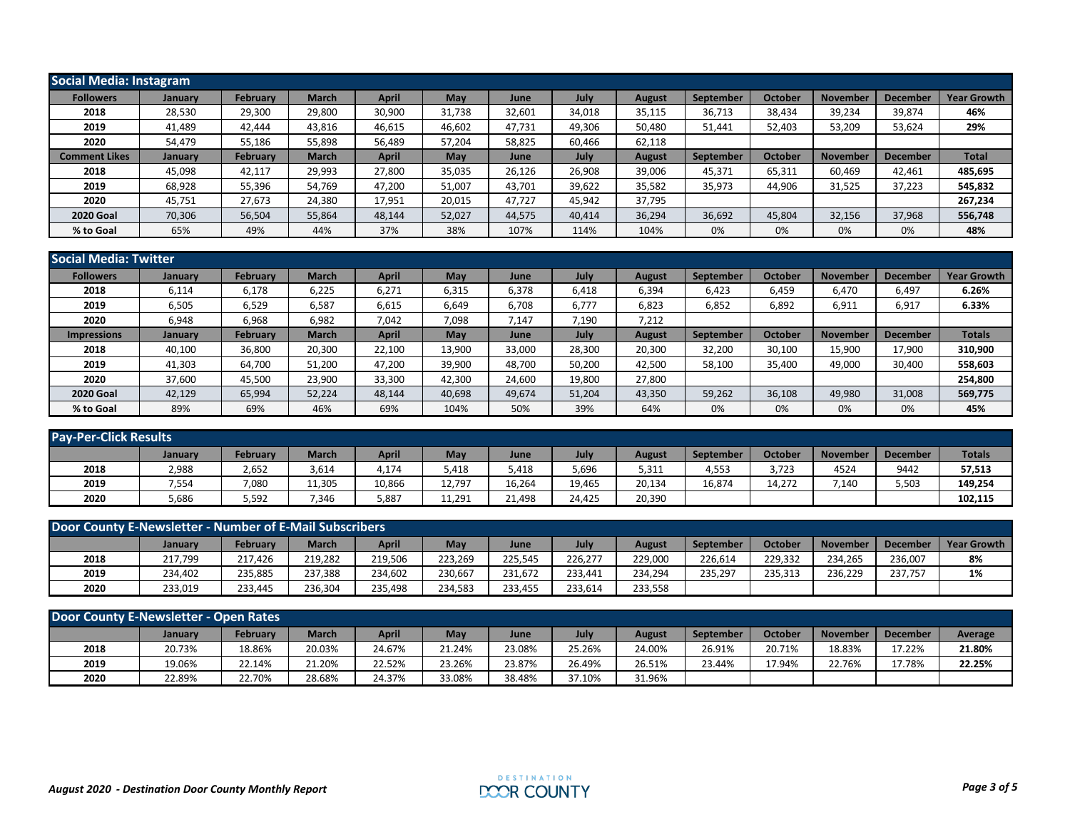| Social Media: Instagram |         |                 |              |        |        |        |        |               |           |         |                 |                 |                    |
|-------------------------|---------|-----------------|--------------|--------|--------|--------|--------|---------------|-----------|---------|-----------------|-----------------|--------------------|
| <b>Followers</b>        | January | <b>February</b> | <b>March</b> | April  | May    | June   | July   | August        | September | October | <b>November</b> | <b>Decembe</b>  | <b>Year Growth</b> |
| 2018                    | 28,530  | 29,300          | 29,800       | 30,900 | 31,738 | 32,601 | 34,018 | 35,115        | 36,713    | 38,434  | 39,234          | 39,874          | 46%                |
| 2019                    | 41,489  | 42,444          | 43,816       | 46,615 | 46,602 | 47,731 | 49,306 | 50,480        | 51,441    | 52,403  | 53,209          | 53,624          | 29%                |
| 2020                    | 54,479  | 55,186          | 55,898       | 56,489 | 57,204 | 58,825 | 60,466 | 62,118        |           |         |                 |                 |                    |
| <b>Comment Likes</b>    | January | <b>February</b> | <b>March</b> | April  | May    | June   | July   | <b>August</b> | September | October | <b>November</b> | <b>December</b> | <b>Total</b>       |
| 2018                    | 45,098  | 42,117          | 29,993       | 27,800 | 35,035 | 26,126 | 26,908 | 39,006        | 45,371    | 65,311  | 60,469          | 42,461          | 485,695            |
| 2019                    | 68,928  | 55,396          | 54,769       | 47,200 | 51,007 | 43,701 | 39,622 | 35,582        | 35,973    | 44,906  | 31,525          | 37,223          | 545,832            |
| 2020                    | 45,751  | 27,673          | 24,380       | 17,951 | 20,015 | 47,727 | 45,942 | 37,795        |           |         |                 |                 | 267,234            |
| <b>2020 Goal</b>        | 70,306  | 56,504          | 55,864       | 48,144 | 52,027 | 44,575 | 40,414 | 36,294        | 36,692    | 45,804  | 32,156          | 37,968          | 556,748            |
| % to Goal               | 65%     | 49%             | 44%          | 37%    | 38%    | 107%   | 114%   | 104%          | 0%        | 0%      | 0%              | 0%              | 48%                |

| <b>Social Media: Twitter</b> |         |                 |              |              |        |        |        |               |           |         |                 |                 |                    |
|------------------------------|---------|-----------------|--------------|--------------|--------|--------|--------|---------------|-----------|---------|-----------------|-----------------|--------------------|
| <b>Followers</b>             | January | February        | <b>March</b> | <b>April</b> | May    | June   | July   | <b>August</b> | September | October | <b>November</b> | December        | <b>Year Growth</b> |
| 2018                         | 6,114   | 6,178           | 6,225        | 6,271        | 6,315  | 6,378  | 6,418  | 6,394         | 6,423     | 6,459   | 6,470           | 6,497           | 6.26%              |
| 2019                         | 6,505   | 6,529           | 6,587        | 6,615        | 6,649  | 6,708  | 6,777  | 6,823         | 6,852     | 6,892   | 6,911           | 6,917           | 6.33%              |
| 2020                         | 6,948   | 6,968           | 6,982        | 7,042        | 7,098  | 7,147  | 7,190  | 7,212         |           |         |                 |                 |                    |
| <b>Impressions</b>           | January | <b>February</b> | <b>March</b> | <b>April</b> | May    | June   | July   | <b>August</b> | September | October | <b>November</b> | <b>December</b> | <b>Totals</b>      |
| 2018                         | 40,100  | 36,800          | 20,300       | 22,100       | 13,900 | 33,000 | 28,300 | 20,300        | 32,200    | 30,100  | 15,900          | 17,900          | 310,900            |
| 2019                         | 41,303  | 64,700          | 51,200       | 47,200       | 39,900 | 48,700 | 50,200 | 42,500        | 58,100    | 35,400  | 49,000          | 30,400          | 558,603            |
| 2020                         | 37,600  | 45,500          | 23,900       | 33,300       | 42,300 | 24,600 | 19,800 | 27,800        |           |         |                 |                 | 254,800            |
| <b>2020 Goal</b>             | 42,129  | 65,994          | 52,224       | 48,144       | 40,698 | 49,674 | 51,204 | 43,350        | 59,262    | 36,108  | 49,980          | 31,008          | 569,775            |
| % to Goal                    | 89%     | 69%             | 46%          | 69%          | 104%   | 50%    | 39%    | 64%           | 0%        | 0%      | 0%              | 0%              | 45%                |

| <b>Pay-Per-Click Results</b> |         |          |              |        |        |        |        |               |           |                |                  |                 |               |
|------------------------------|---------|----------|--------------|--------|--------|--------|--------|---------------|-----------|----------------|------------------|-----------------|---------------|
|                              | January | February | <b>March</b> | April  | May    | June   | July   | <b>August</b> | September | <b>October</b> | <b>November</b>  | <b>December</b> | <b>Totals</b> |
| 2018                         | 2,988   | 2,652    | 3,614        | 4,174  | 5,418  | 5,418  | 5,696  | 5,311         | 4,553     | 3,723          | 4524             | 9442            | 57,513        |
| 2019                         | 7,554   | 7,080    | 11,305       | 10,866 | 12,797 | 16,264 | 19,465 | 20,134        | 16,874    | 14,272         | $^{\prime}$ .140 | 5,503           | 149,254       |
| 2020                         | 5,686   | 5,592    | 7,346        | 5,887  | 11,291 | 21,498 | 24,425 | 20,390        |           |                |                  |                 | 102.115       |

| Door County E-Newsletter - Number of E-Mail Subscribers |         |                 |              |              |            |         |         |         |           |         |                 |                 |                    |
|---------------------------------------------------------|---------|-----------------|--------------|--------------|------------|---------|---------|---------|-----------|---------|-----------------|-----------------|--------------------|
|                                                         | January | <b>February</b> | <b>March</b> | <b>April</b> | <b>May</b> | June    | July    | August  | September | October | <b>November</b> | <b>December</b> | <b>Year Growth</b> |
| 2018                                                    | 217.799 | 217.426         | 219.282      | 219.506      | 223.269    | 225,545 | 226.277 | 229.000 | 226.614   | 229.332 | 234.265         | 236.007         | 8%                 |
| 2019                                                    | 234.402 | 235,885         | 237,388      | 234,602      | 230,667    | 231,672 | 233.441 | 234,294 | 235,297   | 235,313 | 236,229         | 237.757         | 1%                 |
| 2020                                                    | 233,019 | 233,445         | 236,304      | 235,498      | 234,583    | 233,455 | 233,614 | 233,558 |           |         |                 |                 |                    |

| <b>Door County E-Newsletter - Open Rates</b> |         |          |              |        |        |        |        |        |                  |         |                 |                 |         |
|----------------------------------------------|---------|----------|--------------|--------|--------|--------|--------|--------|------------------|---------|-----------------|-----------------|---------|
|                                              | January | Februarv | <b>March</b> | April  | Mav    | June   | July   | August | <b>September</b> | October | <b>November</b> | <b>December</b> | Average |
| 2018                                         | 20.73%  | 18.86%   | 20.03%       | 24.67% | 21.24% | 23.08% | 25.26% | 24.00% | 26.91%           | 20.71%  | 18.83%          | 17.22%          | 21.80%  |
| 2019                                         | 19.06%  | 22.14%   | 21.20%       | 22.52% | 23.26% | 23.87% | 26.49% | 26.51% | 23.44%           | 17.94%  | 22.76%          | 7.78%           | 22.25%  |
| 2020                                         | 22.89%  | 22.70%   | 28.68%       | 24.37% | 33.08% | 38.48% | 37.10% | 31.96% |                  |         |                 |                 |         |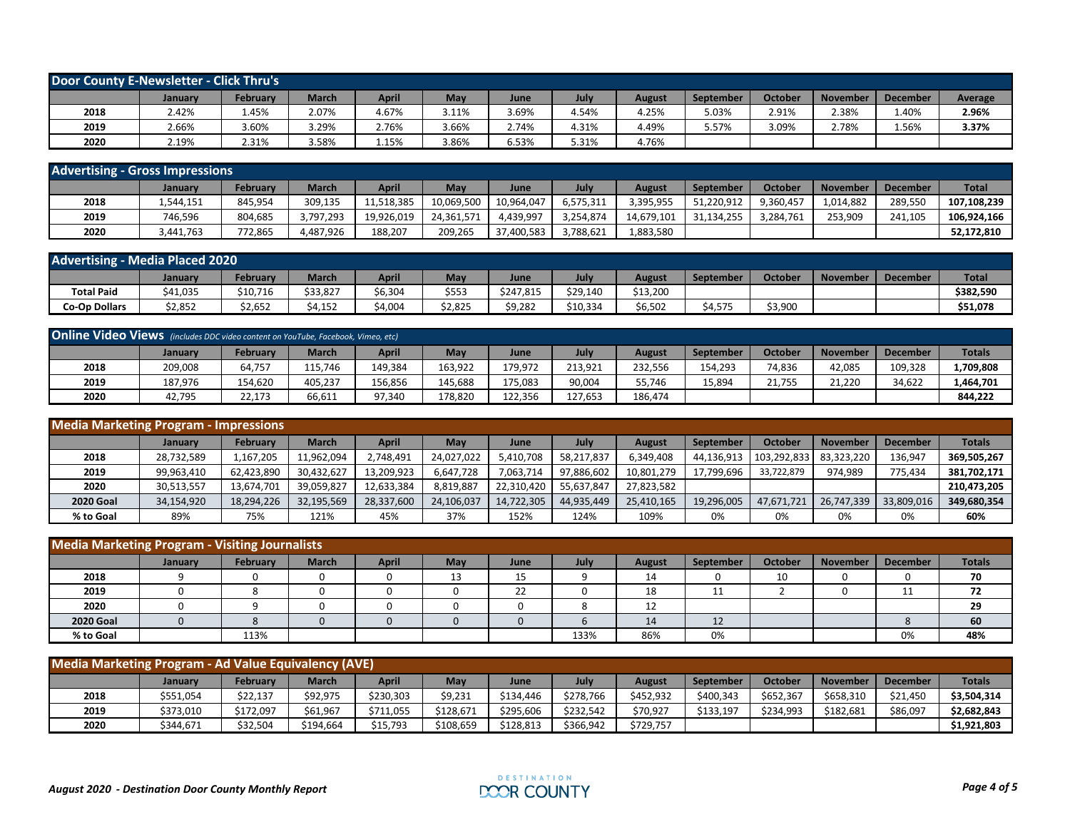| Door County E-Newsletter - Click Thru's |         |                 |              |              |       |       |       |        |                  |         |          |                 |         |
|-----------------------------------------|---------|-----------------|--------------|--------------|-------|-------|-------|--------|------------------|---------|----------|-----------------|---------|
|                                         | January | <b>February</b> | <b>March</b> | <b>April</b> | May   | June  | July  | August | <b>September</b> | October | November | <b>December</b> | Average |
| 2018                                    | 2.42%   | 1.45%           | 2.07%        | 4.67%        | 3.11% | 3.69% | 4.54% | 4.25%  | 5.03%            | 2.91%   | 2.38%    | 1.40%           | 2.96%   |
| 2019                                    | 2.66%   | 3.60%           | 3.29%        | 2.76%        | 3.66% | 2.74% | 4.31% | 4.49%  | 5.57%            | 3.09%   | 2.78%    | 1.56%           | 3.37%   |
| 2020                                    | 2.19%   | 2.31%           | 3.58%        | 1.15%        | 3.86% | 6.53% | 5.31% | 4.76%  |                  |         |          |                 |         |

| <b>Advertising - Gross Impressions</b> |           |                 |              |            |            |            |           |            |            |           |                 |                 |              |
|----------------------------------------|-----------|-----------------|--------------|------------|------------|------------|-----------|------------|------------|-----------|-----------------|-----------------|--------------|
|                                        | January   | <b>February</b> | <b>March</b> | April      | May        | June       | July      | August     | September  | October   | <b>November</b> | <b>December</b> | <b>Total</b> |
| 2018                                   | 1,544,151 | 845.954         | 309,135      | 1,518,385  | 10,069,500 | 10.964.047 | 6,575,311 | 3,395,955  | 51,220,912 | 9.360.457 | L.014.882       | 289.550         | 107.108.239  |
| 2019                                   | 746,596   | 804,685         | 3,797,293    | 19,926,019 | 24.361.571 | 4.439.997  | 3,254,874 | 14.679.101 | 31.134.255 | 3.284.761 | 253.909         | 241.105         | 106.924.166  |
| 2020                                   | 3.441.763 | 772,865         | 4,487,926    | 188,207    | 209,265    | 37.400.583 | 3,788,621 | 1,883,580  |            |           |                 |                 | 52,172,810   |

| <b>Advertising - Media Placed 2020</b> |          |          |              |         |            |           |          |          |           |                |                 |                 |              |
|----------------------------------------|----------|----------|--------------|---------|------------|-----------|----------|----------|-----------|----------------|-----------------|-----------------|--------------|
|                                        | January  | rebruary | <b>March</b> | April   | <b>May</b> | June      | July     | August   | September | <b>October</b> | <b>November</b> | <b>December</b> | <b>Total</b> |
| <b>Total Paid</b>                      | \$41,035 | \$10,716 | \$33,827     | \$6,304 | \$553      | \$247,815 | \$29,140 | \$13,200 |           |                |                 |                 | \$382,590    |
| <b>Co-Op Dollars</b>                   | \$2,852  | \$2,652  | \$4,152      | \$4,004 | \$2,825    | \$9,282   | \$10,334 | \$6,502  | \$4,575   | \$3,900        |                 |                 | \$51,078     |

| <b>Online Video Views</b> (includes DDC video content on YouTube, Facebook, Vimeo, etc) |         |          |              |         |         |         |         |         |           |         |          |                 |               |
|-----------------------------------------------------------------------------------------|---------|----------|--------------|---------|---------|---------|---------|---------|-----------|---------|----------|-----------------|---------------|
|                                                                                         | January | Februarv | <b>March</b> | April   | May     | June    | July    | August  | September | October | November | <b>December</b> | <b>Totals</b> |
| 2018                                                                                    | 209,008 | 64,757   | 115.746      | 149.384 | 163.922 | 179,972 | 213.921 | 232,556 | 154.293   | 74,836  | 42.085   | 109,328         | L,709,808     |
| 2019                                                                                    | 187,976 | 154,620  | 405,237      | 156,856 | L45,688 | 175,083 | 90,004  | 55,746  | 15,894    | 21,755  | 21,220   | 34,622          | 1,464,701     |
| 2020                                                                                    | 42,795  | 22,173   | 66,611       | 97,340  | 178,820 | 122,356 | 127,653 | 186,474 |           |         |          |                 | 844,222       |

| <b>Media Marketing Program - Impressions</b> |            |                 |              |              |            |            |            |               |                  |             |            |                 |               |
|----------------------------------------------|------------|-----------------|--------------|--------------|------------|------------|------------|---------------|------------------|-------------|------------|-----------------|---------------|
|                                              | January    | <b>February</b> | <b>March</b> | <b>April</b> | May        | June       | July       | <b>August</b> | <b>September</b> | October     | November   | <b>December</b> | <b>Totals</b> |
| 2018                                         | 28,732,589 | 1,167,205       | 11,962,094   | 2,748,491    | 24,027,022 | 5,410,708  | 58,217,837 | 6,349,408     | 44,136,913       | 103.292.833 | 83,323,220 | 136,947         | 369,505,267   |
| 2019                                         | 99,963,410 | 62,423,890      | 30,432,627   | 13,209,923   | 6,647,728  | 7,063,714  | 97,886,602 | 10,801,279    | 17,799,696       | 33,722,879  | 974.989    | 775,434         | 381,702,171   |
| 2020                                         | 30,513,557 | 13,674,701      | 39,059,827   | 12,633,384   | 8,819,887  | 22,310,420 | 55,637,847 | 27.823.582    |                  |             |            |                 | 210.473.205   |
| <b>2020 Goal</b>                             | 34,154,920 | 18,294,226      | 32,195,569   | 28,337,600   | 24,106,037 | 14,722,305 | 44,935,449 | 25,410,165    | 19,296,005       | 47,671,721  | 26,747,339 | 33,809,016      | 349,680,354   |
| % to Goal                                    | 89%        | 75%             | 121%         | 45%          | 37%        | 152%       | 124%       | 109%          | 0%               | 0%          | 0%         | 0%              | 60%           |

| <b>Media Marketing Program - Visiting Journalists</b> |         |                 |              |              |            |      |      |               |                       |         |          |                 |               |
|-------------------------------------------------------|---------|-----------------|--------------|--------------|------------|------|------|---------------|-----------------------|---------|----------|-----------------|---------------|
|                                                       | January | <b>February</b> | <b>March</b> | <b>April</b> | <b>May</b> | June | July | <b>August</b> | September             | October | November | <b>December</b> | <b>Totals</b> |
| 2018                                                  |         |                 |              |              | 13         | 15   |      | 14            |                       | 10      |          |                 | 70            |
| 2019                                                  |         |                 |              |              |            | 22   |      | 18            | $\overline{ }$<br>. . |         |          | ᆠ               | רד<br>74      |
| 2020                                                  |         |                 |              |              |            |      |      | ᆠ             |                       |         |          |                 | 29            |
| <b>2020 Goal</b>                                      |         |                 |              |              |            |      |      | 14            | 1 <sup>2</sup><br>ŦΣ  |         |          |                 | 60            |
| % to Goal                                             |         | 113%            |              |              |            |      | 133% | 86%           | 0%                    |         |          | 0%              | 48%           |

| <b>Media Marketing Program - Ad Value Equivalency (AVE)</b> |           |           |              |           |           |           |           |           |                  |           |                 |                 |               |
|-------------------------------------------------------------|-----------|-----------|--------------|-----------|-----------|-----------|-----------|-----------|------------------|-----------|-----------------|-----------------|---------------|
|                                                             | January   | Februarv  | <b>March</b> | April     | May       | June      | July      | August    | <b>September</b> | October   | <b>November</b> | <b>December</b> | <b>Totals</b> |
| 2018                                                        | \$551,054 | \$22,137  | \$92,975     | \$230,303 | \$9,231   | \$134,446 | \$278,766 | \$452,932 | \$400,343        | \$652,367 | \$658,310       | \$21,450        | \$3,504,314   |
| 2019                                                        | \$373,010 | \$172,097 | \$61,967     | \$711,055 | \$128,671 | \$295,606 | \$232,542 | \$70,927  | \$133,197        | \$234,993 | \$182,681       | \$86,097        | \$2,682,843   |
| 2020                                                        | \$344,671 | \$32,504  | \$194,664    | \$15,793  | \$108,659 | \$128,813 | \$366,942 | \$729,757 |                  |           |                 |                 | \$1,921,803   |